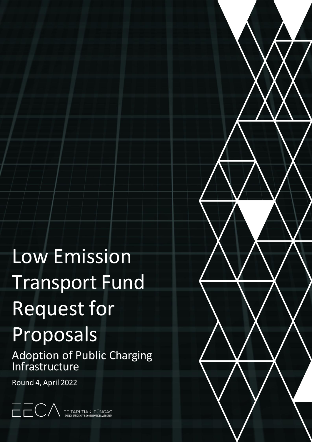# Low Emission Transport Fund Request for Proposals

Adoption of Public Charging Infrastructure

Round 4, April 2022

TE TARI TIAKI PŪNGAO<br>ENERGY EFFICIENCY & CONSERVATION AUTHORITY

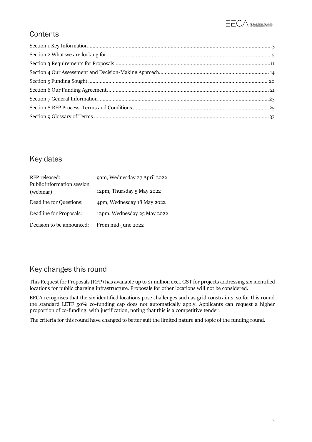# **Contents**

# Key dates

| RFP released:<br>Public information session | 9am, Wednesday 27 April 2022 |
|---------------------------------------------|------------------------------|
| (webinar)                                   | 12pm, Thursday 5 May 2022    |
| Deadline for Questions:                     | 4pm, Wednesday 18 May 2022   |
| Deadline for Proposals:                     | 12pm, Wednesday 25 May 2022  |
| Decision to be announced:                   | From mid-June 2022           |

# Key changes this round

This Request for Proposals (RFP) has available up to \$1 million excl. GST for projects addressing six identified locations for public charging infrastructure. Proposals for other locations will not be considered.

EECA recognises that the six identified locations pose challenges such as grid constraints, so for this round the standard LETF 50% co-funding cap does not automatically apply. Applicants can request a higher proportion of co-funding, with justification, noting that this is a competitive tender.

The criteria for this round have changed to better suit the limited nature and topic of the funding round.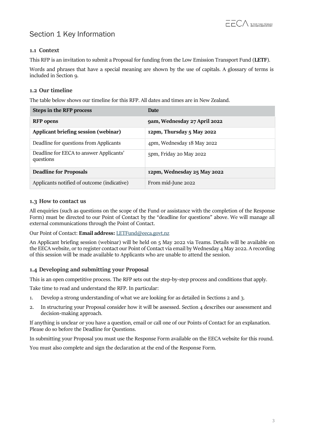# Section 1 Key Information

# <span id="page-2-0"></span>**1.1 Context**

This RFP is an invitation to submit a Proposal for funding from the Low Emission Transport Fund (**LETF**).

Words and phrases that have a special meaning are shown by the use of capitals. A glossary of terms is included in Section 9.

# **1.2 Our timeline**

The table below shows our timeline for this RFP. All dates and times are in New Zealand.

| <b>Steps in the RFP process</b>                      | <b>Date</b>                  |
|------------------------------------------------------|------------------------------|
| <b>RFP</b> opens                                     | 9am, Wednesday 27 April 2022 |
| Applicant briefing session (webinar)                 | 12pm, Thursday 5 May 2022    |
| Deadline for questions from Applicants               | 4pm, Wednesday 18 May 2022   |
| Deadline for EECA to answer Applicants'<br>questions | 5pm, Friday 20 May 2022      |
| <b>Deadline for Proposals</b>                        | 12pm, Wednesday 25 May 2022  |
| Applicants notified of outcome (indicative)          | From mid-June 2022           |

# **1.3 How to contact us**

All enquiries (such as questions on the scope of the Fund or assistance with the completion of the Response Form) must be directed to our Point of Contact by the "deadline for questions" above. We will manage all external communications through the Point of Contact.

Our Point of Contact: **Email address:** [LETFund@eeca.govt.nz](mailto:LEVFund@eeca.govt.nz)

An Applicant briefing session (webinar) will be held on 5 May 2022 via Teams. Details will be available on the EECA website, or to register contact our Point of Contact via email by Wednesday 4 May 2022. A recording of this session will be made available to Applicants who are unable to attend the session.

# **1.4 Developing and submitting your Proposal**

This is an open competitive process. The RFP sets out the step-by-step process and conditions that apply.

Take time to read and understand the RFP. In particular:

- 1. Develop a strong understanding of what we are looking for as detailed in Sections 2 and 3.
- 2. In structuring your Proposal consider how it will be assessed. Section 4 describes our assessment and decision-making approach.

If anything is unclear or you have a question, email or call one of our Points of Contact for an explanation. Please do so before the Deadline for Questions.

In submitting your Proposal you must use the Response Form available on the EECA website for this round.

You must also complete and sign the declaration at the end of the Response Form.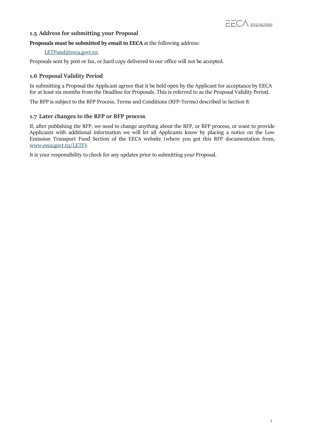# **1.5 Address for submitting your Proposal**

### **Proposals must be submitted by email to EECA** at the following address:

#### [LETFund@eeca.govt.nz.](mailto:LEVFund@eeca.govt.nz)

Proposals sent by post or fax, or hard copy delivered to our office will not be accepted.

# **1.6 Proposal Validity Period**

In submitting a Proposal the Applicant agrees that it be held open by the Applicant for acceptance by EECA for at least six months from the Deadline for Proposals. This is referred to as the Proposal Validity Period.

The RFP is subject to the RFP Process, Terms and Conditions (RFP-Terms) described in Section 8.

### **1.7 Later changes to the RFP or RFP process**

If, after publishing the RFP, we need to change anything about the RFP, or RFP process, or want to provide Applicants with additional information we will let all Applicants know by placing a notice on the Low Emission Transport Fund Section of the EECA website (where you got this RFP documentation from, [www.eeca.govt.nz/LETF\)](http://www.eeca.govt.nz/LETF).

It is your responsibility to check for any updates prior to submitting your Proposal.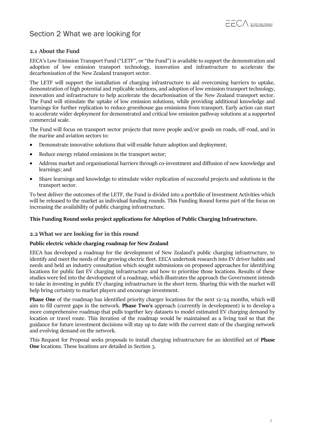

# <span id="page-4-0"></span>Section 2 What we are looking for

#### **2.1 About the Fund**

EECA's Low Emission Transport Fund ("LETF", or "the Fund") is available to support the demonstration and adoption of low emission transport technology, innovation and infrastructure to accelerate the decarbonisation of the New Zealand transport sector.

The LETF will support the installation of charging infrastructure to aid overcoming barriers to uptake, demonstration of high potential and replicable solutions, and adoption of low emission transport technology, innovation and infrastructure to help accelerate the decarbonisation of the New Zealand transport sector. The Fund will stimulate the uptake of low emission solutions, while providing additional knowledge and learnings for further replication to reduce greenhouse gas emissions from transport. Early action can start to accelerate wider deployment for demonstrated and critical low emission pathway solutions at a supported commercial scale.

The Fund will focus on transport sector projects that move people and/or goods on roads, off-road, and in the marine and aviation sectors to:

- Demonstrate innovative solutions that will enable future adoption and deployment;
- Reduce energy related emissions in the transport sector;
- Address market and organisational barriers through co-investment and diffusion of new knowledge and learnings; and
- Share learnings and knowledge to stimulate wider replication of successful projects and solutions in the transport sector.

To best deliver the outcomes of the LETF, the Fund is divided into a portfolio of Investment Activities which will be released to the market as individual funding rounds. This Funding Round forms part of the focus on increasing the availability of public charging infrastructure.

#### **This Funding Round seeks project applications for Adoption of Public Charging Infrastructure.**

#### **2.2 What we are looking for in this round**

#### **Public electric vehicle charging roadmap for New Zealand**

EECA has developed a roadmap for the development of New Zealand's public charging infrastructure, to identify and meet the needs of the growing electric fleet. EECA undertook research into EV driver habits and needs and held an industry consultation which sought submissions on proposed approaches for identifying locations for public fast EV charging infrastructure and how to prioritise those locations. Results of these studies were fed into the development of a roadmap, which illustrates the approach the Government intends to take in investing in public EV charging infrastructure in the short term. Sharing this with the market will help bring certainty to market players and encourage investment.

**Phase One** of the roadmap has identified priority charger locations for the next 12-24 months, which will aim to fill current gaps in the network. **Phase Two's** approach (currently in development) is to develop a more comprehensive roadmap that pulls together key datasets to model estimated EV charging demand by location or travel route. This iteration of the roadmap would be maintained as a living tool so that the guidance for future investment decisions will stay up to date with the current state of the charging network and evolving demand on the network.

This Request for Proposal seeks proposals to install charging infrastructure for an identified set of **Phase One** locations. These locations are detailed in Section 3.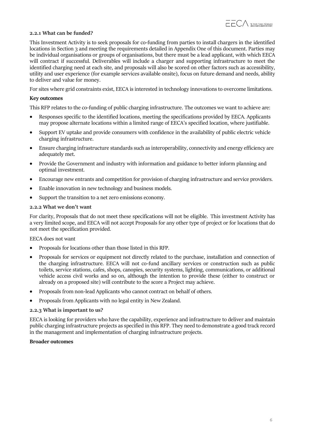#### **2.2.1 What can be funded?**

This Investment Activity is to seek proposals for co-funding from parties to install chargers in the identified locations in Section 3 and meeting the requirements detailed in Appendix One of this document. Parties may be individual organisations or groups of organisations, but there must be a lead applicant, with which EECA will contract if successful. Deliverables will include a charger and supporting infrastructure to meet the identified charging need at each site, and proposals will also be scored on other factors such as accessibility, utility and user experience (for example services available onsite), focus on future demand and needs, ability to deliver and value for money.

For sites where grid constraints exist, EECA is interested in technology innovations to overcome limitations.

#### **Key outcomes**

This RFP relates to the co-funding of public charging infrastructure. The outcomes we want to achieve are:

- Responses specific to the identified locations, meeting the specifications provided by EECA. Applicants may propose alternate locations within a limited range of EECA's specified location, where justifiable.
- Support EV uptake and provide consumers with confidence in the availability of public electric vehicle charging infrastructure.
- Ensure charging infrastructure standards such as interoperability, connectivity and energy efficiency are adequately met.
- Provide the Government and industry with information and guidance to better inform planning and optimal investment.
- Encourage new entrants and competition for provision of charging infrastructure and service providers.
- Enable innovation in new technology and business models.
- Support the transition to a net zero emissions economy.

#### **2.2.2 What we don't want**

For clarity, Proposals that do not meet these specifications will not be eligible. This investment Activity has a very limited scope, and EECA will not accept Proposals for any other type of project or for locations that do not meet the specification provided.

#### EECA does not want

- Proposals for locations other than those listed in this RFP.
- Proposals for services or equipment not directly related to the purchase, installation and connection of the charging infrastructure. EECA will not co-fund ancillary services or construction such as public toilets, service stations, cafes, shops, canopies, security systems, lighting, communications, or additional vehicle access civil works and so on, although the intention to provide these (either to construct or already on a proposed site) will contribute to the score a Project may achieve.
- Proposals from non-lead Applicants who cannot contract on behalf of others.
- Proposals from Applicants with no legal entity in New Zealand.

#### **2.2.3 What is important to us?**

EECA is looking for providers who have the capability, experience and infrastructure to deliver and maintain public charging infrastructure projects asspecified in this RFP. They need to demonstrate a good track record in the management and implementation of charging infrastructure projects.

#### **Broader outcomes**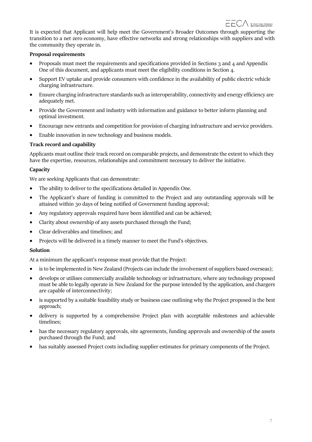It is expected that Applicant will help meet the Government's Broader Outcomes through supporting the transition to a net zero economy, have effective networks and strong relationships with suppliers and with the community they operate in.

#### **Proposal requirements**

- Proposals must meet the requirements and specifications provided in Sections 3 and 4 and Appendix One of this document, and applicants must meet the eligibility conditions in Section 4.
- Support EV uptake and provide consumers with confidence in the availability of public electric vehicle charging infrastructure.
- Ensure charging infrastructure standards such as interoperability, connectivity and energy efficiency are adequately met.
- Provide the Government and industry with information and guidance to better inform planning and optimal investment.
- Encourage new entrants and competition for provision of charging infrastructure and service providers.
- Enable innovation in new technology and business models.

### **Track record and capability**

Applicants must outline their track record on comparable projects, and demonstrate the extent to which they have the expertise, resources, relationships and commitment necessary to deliver the initiative.

#### **Capacity**

We are seeking Applicants that can demonstrate:

- The ability to deliver to the specifications detailed in Appendix One.
- The Applicant's share of funding is committed to the Project and any outstanding approvals will be attained within 30 days of being notified of Government funding approval;
- Any regulatory approvals required have been identified and can be achieved;
- Clarity about ownership of any assets purchased through the Fund;
- Clear deliverables and timelines; and
- Projects will be delivered in a timely manner to meet the Fund's objectives.

#### **Solution**

At a minimum the applicant's response must provide that the Project:

- is to be implemented in New Zealand (Projects can include the involvement of suppliers based overseas);
- develops or utilises commercially available technology or infrastructure, where any technology proposed must be able to legally operate in New Zealand for the purpose intended by the application, and chargers are capable of interconnectivity;
- is supported by a suitable feasibility study or business case outlining why the Project proposed is the best approach;
- delivery is supported by a comprehensive Project plan with acceptable milestones and achievable timelines;
- has the necessary regulatory approvals, site agreements, funding approvals and ownership of the assets purchased through the Fund; and
- has suitably assessed Project costs including supplier estimates for primary components of the Project.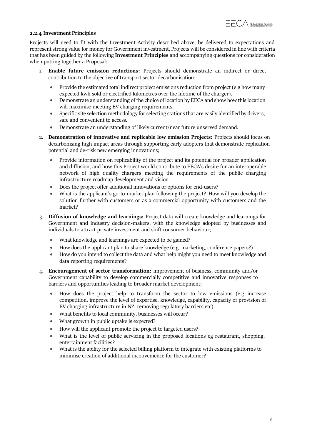#### **2.2.4 Investment Principles**

Projects will need to fit with the Investment Activity described above, be delivered to expectations and represent strong value for money for Government investment. Projects will be considered in line with criteria that has been guided by the following **Investment Principles** and accompanying questions forconsideration when putting together a Proposal:

- 1. **Enable future emission reductions:** Projects should demonstrate an indirect or direct contribution to the objective of transport sector decarbonisation;
	- Provide the estimated total indirect project emissions reduction from project (e.g how many expected kwh sold or electrified kilometres over the lifetime of the charger).
	- Demonstrate an understanding of the choice of location by EECA and show how this location will maximise meeting EV charging requirements.
	- Specific site selection methodology for selecting stations that are easily identified by drivers, safe and convenient to access.
	- Demonstrate an understanding of likely current/near future unserved demand.
- 2. **Demonstration of innovative and replicable low emission Projects:** Projects should focus on decarbonising high impact areas through supporting early adopters that demonstrate replication potential and de-risk new emerging innovations;
	- Provide information on replicability of the project and its potential for broader application and diffusion, and how this Project would contribute to EECA's desire for an interoperable network of high quality chargers meeting the requirements of the public charging infrastructure roadmap development and vision.
	- Does the project offer additional innovations or options for end-users?
	- What is the applicant's go-to-market plan following the project? How will you develop the solution further with customers or as a commercial opportunity with customers and the market?
- 3. **Diffusion of knowledge and learnings:** Project data will create knowledge and learnings for Government and industry decision-makers, with the knowledge adopted by businesses and individuals to attract private investment and shift consumer behaviour;
	- What knowledge and learnings are expected to be gained?
	- How does the applicant plan to share knowledge (e.g. marketing, conference papers?)
	- How do you intend to collect the data and what help might you need to meet knowledge and data reporting requirements?
- 4. **Encouragement of sector transformation:** improvement of business, community and/or Government capability to develop commercially competitive and innovative responses to barriers and opportunities leading to broader market development;
	- How does the project help to transform the sector to low emissions (e.g increase competition, improve the level of expertise, knowledge, capability, capacity of provision of EV charging infrastructure in NZ, removing regulatory barriers etc).
	- What benefits to local community, businesses will occur?
	- What growth in public uptake is expected?
	- How will the applicant promote the project to targeted users?
	- What is the level of public servicing in the proposed locations eg restaurant, shopping, entertainment facilities?
	- What is the ability for the selected billing platform to integrate with existing platforms to minimise creation of additional inconvenience for the customer?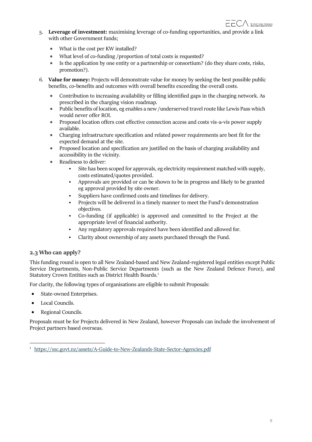- 5. **Leverage of investment:** maximising leverage of co-funding opportunities, and provide a link with other Government funds;
	- What is the cost per KW installed?
	- What level of co-funding /proportion of total costs is requested?
	- Is the application by one entity or a partnership or consortium? (do they share costs, risks, promotion?).
- 6. **Value for money:** Projects will demonstrate value for money by seeking the best possible public benefits, co-benefits and outcomes with overall benefits exceeding the overall costs.
	- Contribution to increasing availability or filling identified gaps in the charging network. As prescribed in the charging vision roadmap.
	- Public benefits of location, eg enables a new /underserved travel route like Lewis Pass which would never offer ROI.
	- Proposed location offers cost effective connection access and costs vis-a-vis power supply available.
	- Charging infrastructure specification and related power requirements are best fit for the expected demand at the site.
	- Proposed location and specification are justified on the basis of charging availability and accessibility in the vicinity.
	- Readiness to deliver:
		- Site has been scoped for approvals, eg electricity requirement matched with supply, costs estimated/quotes provided.
		- Approvals are provided or can be shown to be in progress and likely to be granted eg approval provided by site owner.
		- Suppliers have confirmed costs and timelines for delivery.
		- Projects will be delivered in a timely manner to meet the Fund's demonstration objectives.
		- Co-funding (if applicable) is approved and committed to the Project at the appropriate level of financial authority.
		- Any regulatory approvals required have been identified and allowed for.
		- Clarity about ownership of any assets purchased through the Fund.

# **2.3 Who can apply?**

This funding round is open to all New Zealand-based and New Zealand-registered legal entities except Public Service Departments, Non-Public Service Departments (such as the New Zealand Defence Force), and Statutory Crown Entities such as District Health Board[s.](#page-8-0)<sup>1</sup>

For clarity, the following types of organisations are eligible to submit Proposals:

- State-owned Enterprises.
- Local Councils.
- Regional Councils.

Proposals must be for Projects delivered in New Zealand, however Proposals can include the involvement of Project partners based overseas.

<span id="page-8-0"></span><sup>1</sup> <https://ssc.govt.nz/assets/A-Guide-to-New-Zealands-State-Sector-Agencies.pdf>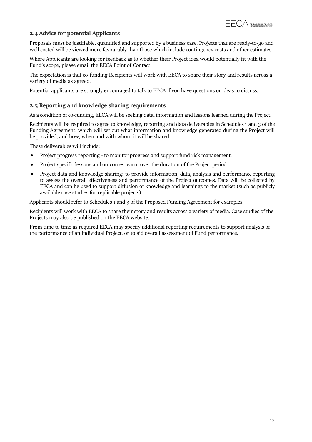# **2.4 Advice for potential Applicants**

Proposals must be justifiable, quantified and supported by a business case. Projects that are ready-to-go and well costed will be viewed more favourably than those which include contingency costs and other estimates.

Where Applicants are looking for feedback as to whether their Project idea would potentially fit with the Fund's scope, please email the EECA Point of Contact.

The expectation is that co-funding Recipients will work with EECA to share their story and results across a variety of media as agreed.

Potential applicants are strongly encouraged to talk to EECA if you have questions or ideas to discuss.

#### **2.5 Reporting and knowledge sharing requirements**

As a condition of co-funding, EECA will be seeking data, information and lessons learned during the Project.

Recipients will be required to agree to knowledge, reporting and data deliverables in Schedules 1 and 3 of the Funding Agreement, which will set out what information and knowledge generated during the Project will be provided, and how, when and with whom it will be shared.

These deliverables will include:

- Project progress reporting to monitor progress and support fund risk management.
- Project specific lessons and outcomes learnt over the duration of the Project period.
- Project data and knowledge sharing: to provide information, data, analysis and performance reporting to assess the overall effectiveness and performance of the Project outcomes. Data will be collected by EECA and can be used to support diffusion of knowledge and learnings to the market (such as publicly available case studies for replicable projects).

Applicants should refer to Schedules 1 and 3 of the Proposed Funding Agreement for examples.

Recipients will work with EECA to share their story and results across a variety of media. Case studies of the Projects may also be published on the EECA website.

From time to time as required EECA may specify additional reporting requirements to support analysis of the performance of an individual Project, or to aid overall assessment of Fund performance.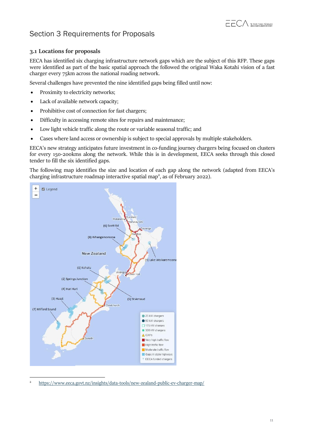# <span id="page-10-0"></span>Section 3 Requirements for Proposals

# **3.1 Locations for proposals**

EECA has identified six charging infrastructure network gaps which are the subject of this RFP. These gaps were identified as part of the basic spatial approach the followed the original Waka Kotahi vision of a fast charger every 75km across the national roading network.

Several challenges have prevented the nine identified gaps being filled until now:

- Proximity to electricity networks;
- Lack of available network capacity;
- Prohibitive cost of connection for fast chargers;
- Difficulty in accessing remote sites for repairs and maintenance;
- Low light vehicle traffic along the route or variable seasonal traffic; and
- Cases where land access or ownership is subject to special approvals by multiple stakeholders.

EECA's new strategy anticipates future investment in co-funding journey chargers being focused on clusters for every 150-200kms along the network. While this is in development, EECA seeks through this closed tender to fill the six identified gaps.

The following map identifies the size and location of each gap along the network (adapted from EECA's charging infrastructure roadma[p](#page-10-1) interactive spatial map<sup>2</sup>, as of February 2022).



<span id="page-10-1"></span><sup>2</sup> <https://www.eeca.govt.nz/insights/data-tools/new-zealand-public-ev-charger-map/>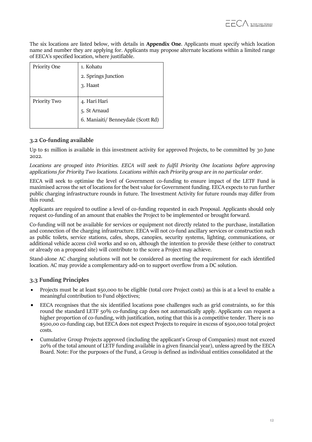The six locations are listed below, with details in **Appendix One**. Applicants must specify which location name and number they are applying for. Applicants may propose alternate locations within a limited range of EECA's specified location, where justifiable.

| Priority One | 1. Kohatu                          |
|--------------|------------------------------------|
|              | 2. Springs Junction                |
|              | 3. Haast                           |
|              |                                    |
| Priority Two | 4. Hari Hari                       |
|              | 5. St Arnaud                       |
|              | 6. Maniaiti/ Benneydale (Scott Rd) |
|              |                                    |

# **3.2 Co-funding available**

Up to \$1 million is available in this investment activity for approved Projects, to be committed by 30 June 2022.

*Locations are grouped into Priorities. EECA will seek to fulfil Priority One locations before approving applications for Priority Two locations. Locations within each Priority group are in no particular order.*

EECA will seek to optimise the level of Government co-funding to ensure impact of the LETF Fund is maximised across the set of locations for the best value for Government funding. EECA expects to run further public charging infrastructure rounds in future. The Investment Activity for future rounds may differ from this round.

Applicants are required to outline a level of co-funding requested in each Proposal. Applicants should only request co-funding of an amount that enables the Project to be implemented or brought forward.

Co-funding will not be available for services or equipment not directly related to the purchase, installation and connection of the charging infrastructure. EECA will not co-fund ancillary services or construction such as public toilets, service stations, cafes, shops, canopies, security systems, lighting, communications, or additional vehicle access civil works and so on, although the intention to provide these (either to construct or already on a proposed site) will contribute to the score a Project may achieve.

Stand-alone AC charging solutions will not be considered as meeting the requirement for each identified location. AC may provide a complementary add-on to support overflow from a DC solution.

# **3.3 Funding Principles**

- Projects must be at least \$50,000 to be eligible (total core Project costs) as this is at a level to enable a meaningful contribution to Fund objectives;
- EECA recognises that the six identified locations pose challenges such as grid constraints, so for this round the standard LETF 50% co-funding cap does not automatically apply. Applicants can request a higher proportion of co-funding, with justification, noting that this is a competitive tender. There is no \$500,00 co-funding cap, but EECA does not expect Projects to require in excess of \$500,000 total project costs.
- Cumulative Group Projects approved (including the applicant's Group of Companies) must not exceed 20% of the total amount of LETF funding available in a given financial year), unless agreed by the EECA Board. Note: For the purposes of the Fund, a Group is defined as individual entities consolidated at the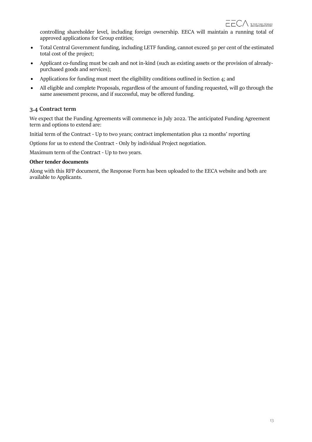controlling shareholder level, including foreign ownership. EECA will maintain a running total of approved applications for Group entities;

- Total Central Government funding, including LETF funding, cannot exceed 50 per cent of the estimated total cost of the project;
- Applicant co-funding must be cash and not in-kind (such as existing assets or the provision of alreadypurchased goods and services);
- Applications for funding must meet the eligibility conditions outlined in Section 4; and
- All eligible and complete Proposals, regardless of the amount of funding requested, will go through the same assessment process, and if successful, may be offered funding.

# **3.4 Contract term**

We expect that the Funding Agreements will commence in July 2022. The anticipated Funding Agreement term and options to extend are:

Initial term of the Contract - Up to two years; contract implementation plus 12 months' reporting

Options for us to extend the Contract - Only by individual Project negotiation.

Maximum term of the Contract - Up to two years.

#### **Other tender documents**

Along with this RFP document, the Response Form has been uploaded to the EECA website and both are available to Applicants.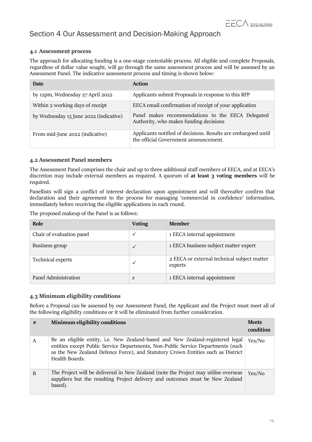# <span id="page-13-0"></span>Section 4 Our Assessment and Decision-Making Approach

# **4.1 Assessment process**

The approach for allocating funding is a one-stage contestable process. All eligible and complete Proposals, regardless of dollar value sought, will go through the same assessment process and will be assessed by an Assessment Panel. The indicative assessment process and timing is shown below:

| Date                                   | <b>Action</b>                                                                                          |
|----------------------------------------|--------------------------------------------------------------------------------------------------------|
| by 12pm, Wednesday 27 April 2022       | Applicants submit Proposals in response to this RFP                                                    |
| Within 2 working days of receipt       | EECA email confirmation of receipt of your application                                                 |
| by Wednesday 15 June 2022 (indicative) | Panel makes recommendations to the EECA Delegated<br>Authority, who makes funding decisions            |
| From mid-June 2022 (indicative)        | Applicants notified of decisions. Results are embargoed until<br>the official Government announcement. |

#### **4.2 Assessment Panel members**

The Assessment Panel comprises the chair and up to three additional staff members of EECA, and at EECA's discretion may include external members as required. A quorum of **at least 3 voting members** will be required.

Panellists will sign a conflict of interest declaration upon appointment and will thereafter confirm that declaration and their agreement to the process for managing 'commercial in confidence' information, immediately before receiving the eligible applications in each round.

The proposed makeup of the Panel is as follows:

| Role                      | <b>Voting</b>       | <b>Member</b>                                          |
|---------------------------|---------------------|--------------------------------------------------------|
| Chair of evaluation panel |                     | 1 EECA internal appointment                            |
| Business group            | $\checkmark$        | 1 EECA business subject matter expert                  |
| Technical experts         |                     | 2 EECA or external technical subject matter<br>experts |
| Panel Administration      | $\boldsymbol{\chi}$ | 1 EECA internal appointment                            |

# **4.3 Minimum eligibility conditions**

Before a Proposal can be assessed by our Assessment Panel, the Applicant and the Project must meet all of the following eligibility conditions or it will be eliminated from further consideration.

| # | Minimum eligibility conditions                                                                                                                                                                                                                                           | <b>Meets</b><br>condition |
|---|--------------------------------------------------------------------------------------------------------------------------------------------------------------------------------------------------------------------------------------------------------------------------|---------------------------|
| A | Be an eligible entity, i.e. New Zealand-based and New Zealand-registered legal<br>entities except Public Service Departments, Non-Public Service Departments (such<br>as the New Zealand Defence Force), and Statutory Crown Entities such as District<br>Health Boards. | Yes/No                    |
| B | The Project will be delivered in New Zealand (note the Project may utilise overseas<br>suppliers but the resulting Project delivery and outcomes must be New Zealand<br>based).                                                                                          | Yes/No                    |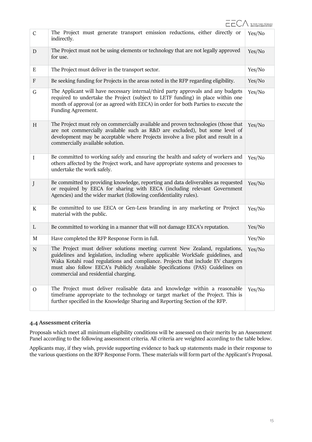| $\mathsf C$   | The Project must generate transport emission reductions, either directly or<br>indirectly.                                                                                                                                                                                                                                                                                 | Yes/No |
|---------------|----------------------------------------------------------------------------------------------------------------------------------------------------------------------------------------------------------------------------------------------------------------------------------------------------------------------------------------------------------------------------|--------|
| D             | The Project must not be using elements or technology that are not legally approved<br>for use.                                                                                                                                                                                                                                                                             | Yes/No |
| Ε             | The Project must deliver in the transport sector.                                                                                                                                                                                                                                                                                                                          | Yes/No |
| F             | Be seeking funding for Projects in the areas noted in the RFP regarding eligibility.                                                                                                                                                                                                                                                                                       | Yes/No |
| $\mathsf G$   | The Applicant will have necessary internal/third party approvals and any budgets<br>required to undertake the Project (subject to LETF funding) in place within one<br>month of approval (or as agreed with EECA) in order for both Parties to execute the<br>Funding Agreement.                                                                                           | Yes/No |
| H             | The Project must rely on commercially available and proven technologies (those that<br>are not commercially available such as R&D are excluded), but some level of<br>development may be acceptable where Projects involve a live pilot and result in a<br>commercially available solution.                                                                                | Yes/No |
| I             | Be committed to working safely and ensuring the health and safety of workers and<br>others affected by the Project work, and have appropriate systems and processes to<br>undertake the work safely.                                                                                                                                                                       | Yes/No |
| J             | Be committed to providing knowledge, reporting and data deliverables as requested<br>or required by EECA for sharing with EECA (including relevant Government<br>Agencies) and the wider market (following confidentiality rules).                                                                                                                                         | Yes/No |
| K             | Be committed to use EECA or Gen-Less branding in any marketing or Project<br>material with the public.                                                                                                                                                                                                                                                                     | Yes/No |
| L             | Be committed to working in a manner that will not damage EECA's reputation.                                                                                                                                                                                                                                                                                                | Yes/No |
| M             | Have completed the RFP Response Form in full.                                                                                                                                                                                                                                                                                                                              | Yes/No |
| ${\bf N}$     | The Project must deliver solutions meeting current New Zealand, regulations,<br>guidelines and legislation, including where applicable WorkSafe guidelines, and<br>Waka Kotahi road regulations and compliance. Projects that include EV chargers<br>must also follow EECA's Publicly Available Specifications (PAS) Guidelines on<br>commercial and residential charging. | Yes/No |
| $\mathcal{O}$ | The Project must deliver realisable data and knowledge within a reasonable<br>timeframe appropriate to the technology or target market of the Project. This is<br>further specified in the Knowledge Sharing and Reporting Section of the RFP.                                                                                                                             | Yes/No |

# **4.4 Assessment criteria**

Proposals which meet all minimum eligibility conditions will be assessed on their merits by an Assessment Panel according to the following assessment criteria. All criteria are weighted according to the table below.

Applicants may, if they wish, provide supporting evidence to back up statements made in their response to the various questions on the RFP Response Form. These materials will form part of the Applicant's Proposal.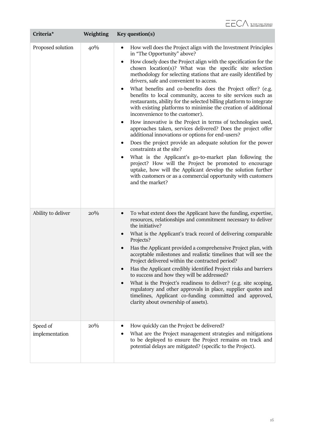| Criteria*                  | Weighting | Key question(s)                                                                                                                                                                                                                                                                                                                                                                                                                                                                                                                                                                                                                                                                                                                                                                                                                                                                                                                                                                                                                                                                                                                                                                                                |
|----------------------------|-----------|----------------------------------------------------------------------------------------------------------------------------------------------------------------------------------------------------------------------------------------------------------------------------------------------------------------------------------------------------------------------------------------------------------------------------------------------------------------------------------------------------------------------------------------------------------------------------------------------------------------------------------------------------------------------------------------------------------------------------------------------------------------------------------------------------------------------------------------------------------------------------------------------------------------------------------------------------------------------------------------------------------------------------------------------------------------------------------------------------------------------------------------------------------------------------------------------------------------|
| Proposed solution          | 40%       | How well does the Project align with the Investment Principles<br>in "The Opportunity" above?<br>How closely does the Project align with the specification for the<br>chosen location(s)? What was the specific site selection<br>methodology for selecting stations that are easily identified by<br>drivers, safe and convenient to access.<br>What benefits and co-benefits does the Project offer? (e.g.<br>benefits to local community, access to site services such as<br>restaurants, ability for the selected billing platform to integrate<br>with existing platforms to minimise the creation of additional<br>inconvenience to the customer).<br>How innovative is the Project in terms of technologies used,<br>approaches taken, services delivered? Does the project offer<br>additional innovations or options for end-users?<br>Does the project provide an adequate solution for the power<br>constraints at the site?<br>What is the Applicant's go-to-market plan following the<br>project? How will the Project be promoted to encourage<br>uptake, how will the Applicant develop the solution further<br>with customers or as a commercial opportunity with customers<br>and the market? |
| Ability to deliver         | 20%       | To what extent does the Applicant have the funding, expertise,<br>resources, relationships and commitment necessary to deliver<br>the initiative?<br>What is the Applicant's track record of delivering comparable<br>Projects?<br>Has the Applicant provided a comprehensive Project plan, with<br>acceptable milestones and realistic timelines that will see the<br>Project delivered within the contracted period?<br>Has the Applicant credibly identified Project risks and barriers<br>to success and how they will be addressed?<br>What is the Project's readiness to deliver? (e.g. site scoping,<br>regulatory and other approvals in place, supplier quotes and<br>timelines, Applicant co-funding committed and approved,<br>clarity about ownership of assets).                                                                                                                                                                                                                                                                                                                                                                                                                                  |
| Speed of<br>implementation | 20%       | How quickly can the Project be delivered?<br>What are the Project management strategies and mitigations<br>to be deployed to ensure the Project remains on track and<br>potential delays are mitigated? (specific to the Project).                                                                                                                                                                                                                                                                                                                                                                                                                                                                                                                                                                                                                                                                                                                                                                                                                                                                                                                                                                             |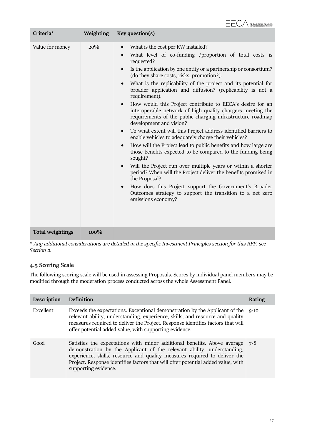

| Criteria*               | Weighting | Key question(s)                                                                                                                                                                                                                                                                                                                                                                                                                                                                                                                                                                                                                                                                                                                                                                                                                                                                                                                                                                                                                                                                                                                                                                                                             |
|-------------------------|-----------|-----------------------------------------------------------------------------------------------------------------------------------------------------------------------------------------------------------------------------------------------------------------------------------------------------------------------------------------------------------------------------------------------------------------------------------------------------------------------------------------------------------------------------------------------------------------------------------------------------------------------------------------------------------------------------------------------------------------------------------------------------------------------------------------------------------------------------------------------------------------------------------------------------------------------------------------------------------------------------------------------------------------------------------------------------------------------------------------------------------------------------------------------------------------------------------------------------------------------------|
| Value for money         | $20\%$    | What is the cost per KW installed?<br>$\bullet$<br>What level of co-funding /proportion of total costs is<br>requested?<br>Is the application by one entity or a partnership or consortium?<br>(do they share costs, risks, promotion?).<br>What is the replicability of the project and its potential for<br>broader application and diffusion? (replicability is not a<br>requirement).<br>How would this Project contribute to EECA's desire for an<br>$\bullet$<br>interoperable network of high quality chargers meeting the<br>requirements of the public charging infrastructure roadmap<br>development and vision?<br>To what extent will this Project address identified barriers to<br>enable vehicles to adequately charge their vehicles?<br>How will the Project lead to public benefits and how large are<br>$\bullet$<br>those benefits expected to be compared to the funding being<br>sought?<br>Will the Project run over multiple years or within a shorter<br>period? When will the Project deliver the benefits promised in<br>the Proposal?<br>How does this Project support the Government's Broader<br>$\bullet$<br>Outcomes strategy to support the transition to a net zero<br>emissions economy? |
| <b>Total weightings</b> | $100\%$   |                                                                                                                                                                                                                                                                                                                                                                                                                                                                                                                                                                                                                                                                                                                                                                                                                                                                                                                                                                                                                                                                                                                                                                                                                             |

*\* Any additional considerations are detailed in the specific Investment Principles section for this RFP, see Section 2.*

# **4.5 Scoring Scale**

The following scoring scale will be used in assessing Proposals. Scores by individual panel members may be modified through the moderation process conducted across the whole Assessment Panel.

| <b>Description</b> | <b>Definition</b>                                                                                                                                                                                                                                                                                                                           | Rating   |
|--------------------|---------------------------------------------------------------------------------------------------------------------------------------------------------------------------------------------------------------------------------------------------------------------------------------------------------------------------------------------|----------|
| Excellent          | Exceeds the expectations. Exceptional demonstration by the Applicant of the<br>relevant ability, understanding, experience, skills, and resource and quality<br>measures required to deliver the Project. Response identifies factors that will<br>offer potential added value, with supporting evidence.                                   | $Q - 1Q$ |
| Good               | Satisfies the expectations with minor additional benefits. Above average<br>demonstration by the Applicant of the relevant ability, understanding,<br>experience, skills, resource and quality measures required to deliver the<br>Project. Response identifies factors that will offer potential added value, with<br>supporting evidence. | $7 - 8$  |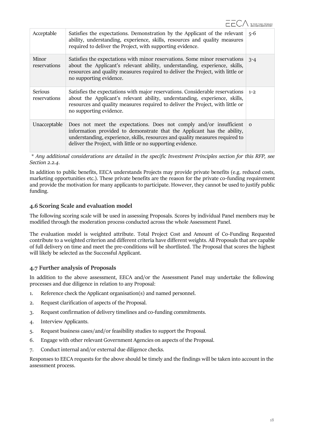| Acceptable                     | Satisfies the expectations. Demonstration by the Applicant of the relevant<br>ability, understanding, experience, skills, resources and quality measures<br>required to deliver the Project, with supporting evidence.                                                                         | $5-6$    |
|--------------------------------|------------------------------------------------------------------------------------------------------------------------------------------------------------------------------------------------------------------------------------------------------------------------------------------------|----------|
| Minor<br>reservations          | Satisfies the expectations with minor reservations. Some minor reservations<br>about the Applicant's relevant ability, understanding, experience, skills,<br>resources and quality measures required to deliver the Project, with little or<br>no supporting evidence.                         | $3 - 4$  |
| <b>Serious</b><br>reservations | Satisfies the expectations with major reservations. Considerable reservations<br>about the Applicant's relevant ability, understanding, experience, skills,<br>resources and quality measures required to deliver the Project, with little or<br>no supporting evidence.                       | $1 - 2$  |
| Unacceptable                   | Does not meet the expectations. Does not comply and/or insufficient<br>information provided to demonstrate that the Applicant has the ability,<br>understanding, experience, skills, resources and quality measures required to<br>deliver the Project, with little or no supporting evidence. | $\Omega$ |

*\* Any additional considerations are detailed in the specific Investment Principles section for this RFP, see Section 2.2.4.*

In addition to public benefits, EECA understands Projects may provide private benefits (e.g. reduced costs, marketing opportunities etc.). These private benefits are the reason for the private co-funding requirement and provide the motivation for many applicants to participate. However, they cannot be used to justify public funding.

# **4.6 Scoring Scale and evaluation model**

The following scoring scale will be used in assessing Proposals. Scores by individual Panel members may be modified through the moderation process conducted across the whole Assessment Panel.

The evaluation model is weighted attribute. Total Project Cost and Amount of Co-Funding Requested contribute to a weighted criterion and different criteria have different weights. All Proposals that are capable of full delivery on time and meet the pre-conditions will be shortlisted. The Proposal that scores the highest will likely be selected as the Successful Applicant.

#### **4.7 Further analysis of Proposals**

In addition to the above assessment, EECA and/or the Assessment Panel may undertake the following processes and due diligence in relation to any Proposal:

- 1. Reference check the Applicant organisation(s) and named personnel.
- 2. Request clarification of aspects of the Proposal.
- 3. Request confirmation of delivery timelines and co-funding commitments.
- 4. Interview Applicants.
- 5. Request business cases/and/or feasibility studies to support the Proposal.
- 6. Engage with other relevant Government Agencies on aspects of the Proposal.
- 7. Conduct internal and/or external due diligence checks.

Responses to EECA requests for the above should be timely and the findings will be taken into account in the assessment process.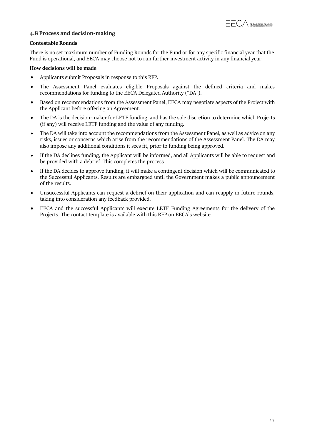

## **4.8 Process and decision-making**

#### **Contestable Rounds**

There is no set maximum number of Funding Rounds for the Fund or for any specific financial year that the Fund is operational, and EECA may choose not to run further investment activity in any financial year.

#### **How decisions will be made**

- Applicants submit Proposals in response to this RFP.
- The Assessment Panel evaluates eligible Proposals against the defined criteria and makes recommendations for funding to the EECA Delegated Authority ("DA").
- Based on recommendations from the Assessment Panel, EECA may negotiate aspects of the Project with the Applicant before offering an Agreement.
- The DA is the decision-maker for LETF funding, and has the sole discretion to determine which Projects (if any) will receive LETF funding and the value of any funding.
- The DA will take into account the recommendations from the Assessment Panel, as well as advice on any risks, issues or concerns which arise from the recommendations of the Assessment Panel. The DA may also impose any additional conditions it sees fit, prior to funding being approved.
- If the DA declines funding, the Applicant will be informed, and all Applicants will be able to request and be provided with a debrief. This completes the process.
- If the DA decides to approve funding, it will make a contingent decision which will be communicated to the Successful Applicants. Results are embargoed until the Government makes a public announcement of the results.
- Unsuccessful Applicants can request a debrief on their application and can reapply in future rounds, taking into consideration any feedback provided.
- EECA and the successful Applicants will execute LETF Funding Agreements for the delivery of the Projects. The contact template is available with this RFP on EECA's website.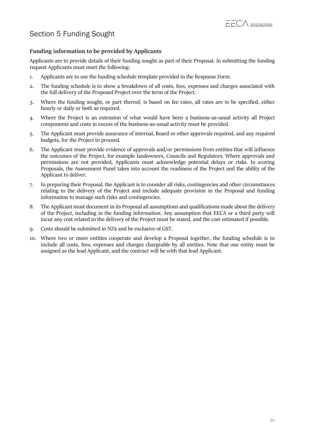

# <span id="page-19-0"></span>Section 5 Funding Sought

# **Funding information to be provided by Applicants**

Applicants are to provide details of their funding sought as part of their Proposal. In submitting the funding request Applicants must meet the following:

- 1. Applicants are to use the funding schedule template provided in the Response Form.
- 2. The funding schedule is to show a breakdown of all costs, fees, expenses and charges associated with the full delivery of the Proposed Project over the term of the Project.
- 3. Where the funding sought, or part thereof, is based on fee rates, all rates are to be specified, either hourly or daily or both as required.
- 4. Where the Project is an extension of what would have been a business-as-usual activity all Project components and costs in excess of the business-as-usual activity must be provided.
- 5. The Applicant must provide assurance of internal, Board or other approvals required, and any required budgets, for the Project to proceed.
- 6. The Applicant must provide evidence of approvals and/or permissions from entities that will influence the outcomes of the Project, for example landowners, Councils and Regulators. Where approvals and permissions are not provided, Applicants must acknowledge potential delays or risks. In scoring Proposals, the Assessment Panel takes into account the readiness of the Project and the ability of the Applicant to deliver.
- 7. In preparing their Proposal, the Applicant is to consider all risks, contingencies and other circumstances relating to the delivery of the Project and include adequate provision in the Proposal and funding information to manage such risks and contingencies.
- 8. The Applicant must document in its Proposal all assumptions and qualifications made about the delivery of the Project, including in the funding information. Any assumption that EECA or a third party will incur any cost related to the delivery of the Project must be stated, and the cost estimated if possible.
- 9. Costs should be submitted in NZ\$ and be exclusive of GST.
- 10. Where two or more entities cooperate and develop a Proposal together, the funding schedule is to include all costs, fees, expenses and charges chargeable by all entities. Note that one entity must be assigned as the lead Applicant, and the contract will be with that lead Applicant.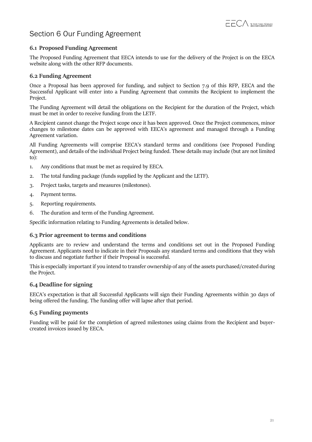

# <span id="page-20-0"></span>Section 6 Our Funding Agreement

# **6.1 Proposed Funding Agreement**

The Proposed Funding Agreement that EECA intends to use for the delivery of the Project is on the EECA website along with the other RFP documents.

### **6.2 Funding Agreement**

Once a Proposal has been approved for funding, and subject to Section 7.9 of this RFP, EECA and the Successful Applicant will enter into a Funding Agreement that commits the Recipient to implement the Project.

The Funding Agreement will detail the obligations on the Recipient for the duration of the Project, which must be met in order to receive funding from the LETF.

A Recipient cannot change the Project scope once it has been approved. Once the Project commences, minor changes to milestone dates can be approved with EECA's agreement and managed through a Funding Agreement variation.

All Funding Agreements will comprise EECA's standard terms and conditions (see Proposed Funding Agreement), and details of the individual Project being funded. These details may include (but are not limited to):

- 1. Any conditions that must be met as required by EECA.
- 2. The total funding package (funds supplied by the Applicant and the LETF).
- 3. Project tasks, targets and measures (milestones).
- 4. Payment terms.
- 5. Reporting requirements.
- 6. The duration and term of the Funding Agreement.

Specific information relating to Funding Agreements is detailed below.

# **6.3 Prior agreement to terms and conditions**

Applicants are to review and understand the terms and conditions set out in the Proposed Funding Agreement. Applicants need to indicate in their Proposals any standard terms and conditions that they wish to discuss and negotiate further if their Proposal is successful.

This is especially important if you intend to transfer ownership of any of the assets purchased/created during the Project.

# **6.4 Deadline for signing**

EECA's expectation is that all Successful Applicants will sign their Funding Agreements within 30 days of being offered the funding. The funding offer will lapse after that period.

#### **6.5 Funding payments**

Funding will be paid for the completion of agreed milestones using claims from the Recipient and buyercreated invoices issued by EECA.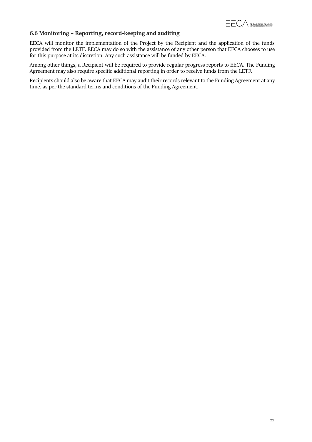

# **6.6 Monitoring – Reporting, record-keeping and auditing**

EECA will monitor the implementation of the Project by the Recipient and the application of the funds provided from the LETF. EECA may do so with the assistance of any other person that EECA chooses to use for this purpose at its discretion. Any such assistance will be funded by EECA.

Among other things, a Recipient will be required to provide regular progress reports to EECA. The Funding Agreement may also require specific additional reporting in order to receive funds from the LETF.

Recipients should also be aware that EECA may audit their records relevant to the Funding Agreement at any time, as per the standard terms and conditions of the Funding Agreement.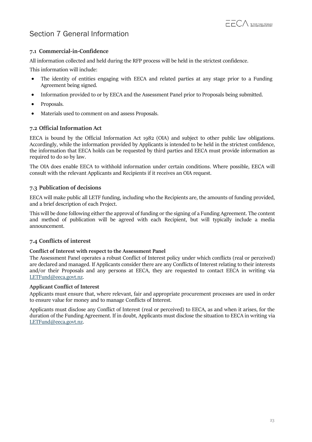# <span id="page-22-0"></span>Section 7 General Information

# **7.1 Commercial-in-Confidence**

All information collected and held during the RFP process will be held in the strictest confidence.

This information will include:

- The identity of entities engaging with EECA and related parties at any stage prior to a Funding Agreement being signed.
- Information provided to or by EECA and the Assessment Panel prior to Proposals being submitted.
- Proposals.
- Materials used to comment on and assess Proposals.

### **7.2 Official Information Act**

EECA is bound by the Official Information Act 1982 (OIA) and subject to other public law obligations. Accordingly, while the information provided by Applicants is intended to be held in the strictest confidence, the information that EECA holds can be requested by third parties and EECA must provide information as required to do so by law.

The OIA does enable EECA to withhold information under certain conditions. Where possible, EECA will consult with the relevant Applicants and Recipients if it receives an OIA request.

# **7.3 Publication of decisions**

EECA will make public all LETF funding, including who the Recipients are, the amounts of funding provided, and a brief description of each Project.

This will be done following either the approval of funding orthe signing of a Funding Agreement. The content and method of publication will be agreed with each Recipient, but will typically include a media announcement.

# **7.4 Conflicts of interest**

#### **Conflict of Interest with respect to the Assessment Panel**

The Assessment Panel operates a robust Conflict of Interest policy under which conflicts (real or perceived) are declared and managed. If Applicants consider there are any Conflicts of Interest relating to their interests and/or their Proposals and any persons at EECA, they are requested to contact EECA in writing via [LETFund@eeca.govt.nz.](mailto:LEVFund@eeca.govt.nz)

#### **Applicant Conflict of Interest**

Applicants must ensure that, where relevant, fair and appropriate procurement processes are used in order to ensure value for money and to manage Conflicts of Interest.

Applicants must disclose any Conflict of Interest (real or perceived) to EECA, as and when it arises, for the duration of the Funding Agreement. If in doubt, Applicants must disclose the situation to EECA in writing via [LETFund@eeca.govt.nz.](mailto:LEVFund@eeca.govt.nz)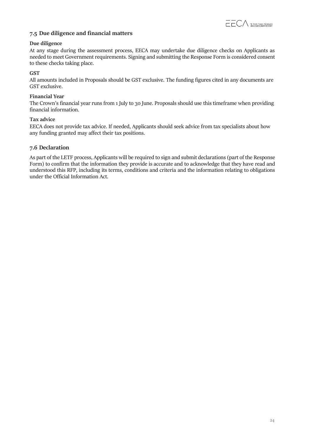

# **7.5 Due diligence and financial matters**

#### **Due diligence**

At any stage during the assessment process, EECA may undertake due diligence checks on Applicants as needed to meet Government requirements. Signing and submitting the Response Form is considered consent to these checks taking place.

#### **GST**

All amounts included in Proposals should be GST exclusive. The funding figures cited in any documents are GST exclusive.

#### **Financial Year**

The Crown's financial year runs from 1 July to 30 June. Proposals should use this timeframe when providing financial information.

#### **Tax advice**

EECA does not provide tax advice. If needed, Applicants should seek advice from tax specialists about how any funding granted may affect their tax positions.

### **7.6 Declaration**

As part of the LETF process, Applicants will be required to sign and submit declarations (part of the Response Form) to confirm that the information they provide is accurate and to acknowledge that they have read and understood this RFP, including its terms, conditions and criteria and the information relating to obligations under the Official Information Act.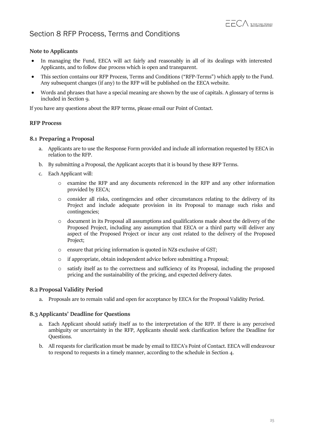# <span id="page-24-0"></span>Section 8 RFP Process, Terms and Conditions

# **Note to Applicants**

- In managing the Fund, EECA will act fairly and reasonably in all of its dealings with interested Applicants, and to follow due process which is open and transparent.
- This section contains our RFP Process, Terms and Conditions ("RFP-Terms") which apply to the Fund. Any subsequent changes (if any) to the RFP will be published on the EECA website.
- Words and phrases that have a special meaning are shown by the use of capitals. A glossary of terms is included in Section 9.

If you have any questions about the RFP terms, please email our Point of Contact.

### **RFP Process**

### **8.1 Preparing a Proposal**

- a. Applicants are to use the Response Form provided and include all information requested by EECA in relation to the RFP.
- b. By submitting a Proposal, the Applicant accepts that it is bound by these RFP Terms.
- c. Each Applicant will:
	- o examine the RFP and any documents referenced in the RFP and any other information provided by EECA;
	- o consider all risks, contingencies and other circumstances relating to the delivery of its Project and include adequate provision in its Proposal to manage such risks and contingencies;
	- o document in its Proposal all assumptions and qualifications made about the delivery of the Proposed Project, including any assumption that EECA or a third party will deliver any aspect of the Proposed Project or incur any cost related to the delivery of the Proposed Project;
	- o ensure that pricing information is quoted in NZ\$ exclusive of GST;
	- o if appropriate, obtain independent advice before submitting a Proposal;
	- o satisfy itself as to the correctness and sufficiency of its Proposal, including the proposed pricing and the sustainability of the pricing, and expected delivery dates.

#### **8.2 Proposal Validity Period**

a. Proposals are to remain valid and open for acceptance by EECA for the Proposal Validity Period.

#### **8.3 Applicants' Deadline for Questions**

- a. Each Applicant should satisfy itself as to the interpretation of the RFP. If there is any perceived ambiguity or uncertainty in the RFP, Applicants should seek clarification before the Deadline for Questions.
- b. All requests for clarification must be made by email to EECA's Point of Contact. EECA will endeavour to respond to requests in a timely manner, according to the schedule in Section 4.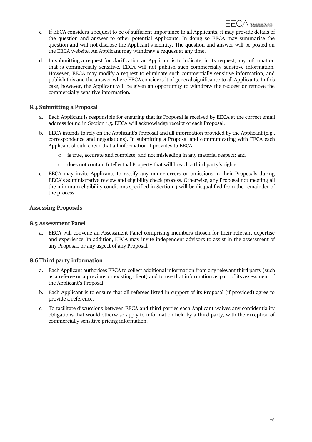- c. If EECA considers a request to be of sufficient importance to all Applicants, it may provide details of the question and answer to other potential Applicants. In doing so EECA may summarise the question and will not disclose the Applicant's identity. The question and answer will be posted on the EECA website. An Applicant may withdraw a request at any time.
- d. In submitting a request for clarification an Applicant is to indicate, in its request, any information that is commercially sensitive. EECA will not publish such commercially sensitive information. However, EECA may modify a request to eliminate such commercially sensitive information, and publish this and the answer where EECA considers it of general significance to all Applicants. In this case, however, the Applicant will be given an opportunity to withdraw the request or remove the commercially sensitive information.

### **8.4 Submitting a Proposal**

- a. Each Applicant is responsible for ensuring that its Proposal is received by EECA at the correct email address found in Section 1.5. EECA will acknowledge receipt of each Proposal.
- b. EECA intends to rely on the Applicant's Proposal and all information provided by the Applicant (e.g., correspondence and negotiations). In submitting a Proposal and communicating with EECA each Applicant should check that all information it provides to EECA:
	- o is true, accurate and complete, and not misleading in any material respect; and
	- o does not contain Intellectual Property that will breach a third party's rights.
- c. EECA may invite Applicants to rectify any minor errors or omissions in their Proposals during EECA's administrative review and eligibility check process. Otherwise, any Proposal not meeting all the minimum eligibility conditions specified in Section 4 will be disqualified from the remainder of the process.

### **Assessing Proposals**

#### **8.5 Assessment Panel**

a. EECA will convene an Assessment Panel comprising members chosen for their relevant expertise and experience. In addition, EECA may invite independent advisors to assist in the assessment of any Proposal, or any aspect of any Proposal.

# **8.6 Third party information**

- a. Each Applicant authorises EECA to collect additional information from any relevant third party (such as a referee or a previous or existing client) and to use that information as part of its assessment of the Applicant's Proposal.
- b. Each Applicant is to ensure that all referees listed in support of its Proposal (if provided) agree to provide a reference.
- c. To facilitate discussions between EECA and third parties each Applicant waives any confidentiality obligations that would otherwise apply to information held by a third party, with the exception of commercially sensitive pricing information.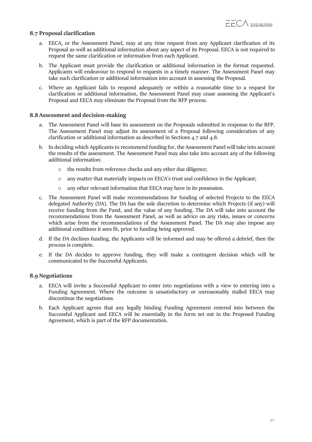#### **8.7 Proposal clarification**

- a. EECA, or the Assessment Panel, may at any time request from any Applicant clarification of its Proposal as well as additional information about any aspect of its Proposal. EECA is not required to request the same clarification or information from each Applicant.
- b. The Applicant must provide the clarification or additional information in the format requested. Applicants will endeavour to respond to requests in a timely manner. The Assessment Panel may take such clarification or additional information into account in assessing the Proposal.
- c. Where an Applicant fails to respond adequately or within a reasonable time to a request for clarification or additional information, the Assessment Panel may cease assessing the Applicant's Proposal and EECA may eliminate the Proposal from the RFP process.

#### **8.8 Assessment and decision-making**

- a. The Assessment Panel will base its assessment on the Proposals submitted in response to the RFP. The Assessment Panel may adjust its assessment of a Proposal following consideration of any clarification or additional information as described in Sections 4.7 and 4.8.
- b. In deciding which Applicants to recommend funding for, the Assessment Panel will take into account the results of the assessment. The Assessment Panel may also take into account any of the following additional information:
	- the results from reference checks and any other due diligence;
	- o any matter that materially impacts on EECA's trust and confidence in the Applicant;
	- o any other relevant information that EECA may have in its possession.
- c. The Assessment Panel will make recommendations for funding of selected Projects to the EECA delegated Authority (DA). The DA has the sole discretion to determine which Projects (if any) will receive funding from the Fund, and the value of any funding. The DA will take into account the recommendations from the Assessment Panel, as well as advice on any risks, issues or concerns which arise from the recommendations of the Assessment Panel. The DA may also impose any additional conditions it sees fit, prior to funding being approved.
- d. If the DA declines funding, the Applicants will be informed and may be offered a debrief, then the process is complete.
- e. If the DA decides to approve funding, they will make a contingent decision which will be communicated to the Successful Applicants.

#### **8.9 Negotiations**

- a. EECA will invite a Successful Applicant to enter into negotiations with a view to entering into a Funding Agreement. Where the outcome is unsatisfactory or unreasonably stalled EECA may discontinue the negotiations.
- b. Each Applicant agrees that any legally binding Funding Agreement entered into between the Successful Applicant and EECA will be essentially in the form set out in the Proposed Funding Agreement, which is part of the RFP documentation.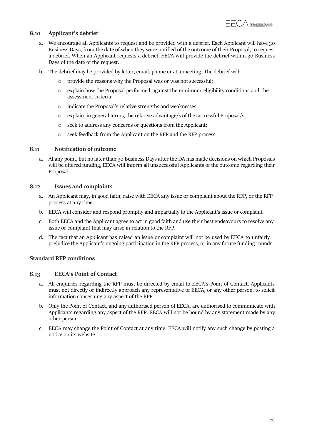## **8.10 Applicant's debrief**

- a. We encourage all Applicants to request and be provided with a debrief. Each Applicant will have 30 Business Days, from the date of when they were notified of the outcome of their Proposal, to request a debrief. When an Applicant requests a debrief, EECA will provide the debrief within 30 Business Days of the date of the request.
- b. The debrief may be provided by letter, email, phone or at a meeting. The debrief will:
	- o provide the reasons why the Proposal was or was not successful;
	- o explain how the Proposal performed against the minimum eligibility conditions and the assessment criteria;
	- o indicate the Proposal's relative strengths and weaknesses;
	- o explain, in general terms, the relative advantage/s of the successful Proposal/s;
	- o seek to address any concerns or questions from the Applicant;
	- o seek feedback from the Applicant on the RFP and the RFP process.

#### **8.11 Notification of outcome**

a. At any point, but no later than 30 Business Days after the DA has made decisions on which Proposals will be offered funding, EECA will inform all unsuccessful Applicants of the outcome regarding their Proposal.

#### **8.12 Issues and complaints**

- a. An Applicant may, in good faith, raise with EECA any issue or complaint about the RFP, or the RFP process at any time.
- b. EECA will consider and respond promptly and impartially to the Applicant's issue orcomplaint.
- c. Both EECA and the Applicant agree to act in good faith and use their best endeavours to resolve any issue or complaint that may arise in relation to the RFP.
- d. The fact that an Applicant has raised an issue or complaint will not be used by EECA to unfairly prejudice the Applicant's ongoing participation in the RFP process, or in any future funding rounds.

#### **Standard RFP conditions**

#### **8.13 EECA's Point of Contact**

- a. All enquiries regarding the RFP must be directed by email to EECA's Point of Contact. Applicants must not directly or indirectly approach any representative of EECA, or any other person, to solicit information concerning any aspect of the RFP.
- b. Only the Point of Contact, and any authorised person of EECA, are authorised to communicate with Applicants regarding any aspect of the RFP. EECA will not be bound by any statement made by any other person.
- c. EECA may change the Point of Contact at any time. EECA will notify any such change by posting a notice on its website.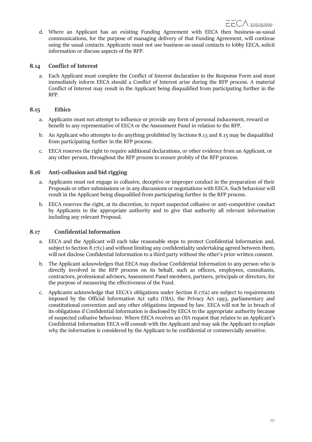d. Where an Applicant has an existing Funding Agreement with EECA then business-as-usual communications, for the purpose of managing delivery of that Funding Agreement, will continue using the usual contacts. Applicants must not use business-as-usual contacts to lobby EECA, solicit information or discuss aspects of the RFP.

### **8.14 Conflict of Interest**

a. Each Applicant must complete the Conflict of Interest declaration in the Response Form and must immediately inform EECA should a Conflict of Interest arise during the RFP process. A material Conflict of Interest may result in the Applicant being disqualified from participating further in the RFP.

### **8.15 Ethics**

- a. Applicants must not attempt to influence or provide any form of personal inducement, reward or benefit to any representative of EECA or the Assessment Panel in relation to the RFP.
- b. An Applicant who attempts to do anything prohibited by Sections 8.13 and 8.15 may be disqualified from participating further in the RFP process.
- c. EECA reserves the right to require additional declarations, or other evidence from an Applicant, or any other person, throughout the RFP process to ensure probity of the RFP process.

# **8.16 Anti-collusion and bid rigging**

- a. Applicants must not engage in collusive, deceptive or improper conduct in the preparation of their Proposals or other submissions or in any discussions or negotiations with EECA. Such behaviour will result in the Applicant being disqualified from participating further in the RFP process.
- b. EECA reserves the right, at its discretion, to report suspected collusive or anti-competitive conduct by Applicants to the appropriate authority and to give that authority all relevant information including any relevant Proposal.

#### **8.17 Confidential Information**

- a. EECA and the Applicant will each take reasonable steps to protect Confidential Information and, subject to Section 8.17(c) and without limiting any confidentiality undertaking agreed between them, will not disclose Confidential Information to a third party without the other's prior written consent.
- b. The Applicant acknowledges that EECA may disclose Confidential Information to any person who is directly involved in the RFP process on its behalf, such as officers, employees, consultants, contractors, professional advisors, Assessment Panel members, partners, principals or directors, for the purpose of measuring the effectiveness of the Fund.
- c. Applicants acknowledge that EECA's obligations under Section 8.17(a) are subject to requirements imposed by the Official Information Act 1982 (OIA), the Privacy Act 1993, parliamentary and constitutional convention and any other obligations imposed by law. EECA will not be in breach of its obligations if Confidential Information is disclosed by EECA to the appropriate authority because of suspected collusive behaviour. Where EECA receives an OIA request that relates to an Applicant's Confidential Information EECA will consult with the Applicant and may ask the Applicant to explain why the information is considered by the Applicant to be confidential or commercially sensitive.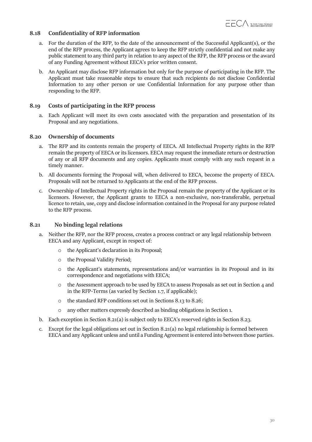# **8.18 Confidentiality of RFP information**

- a. For the duration of the RFP, to the date of the announcement of the Successful Applicant(s), or the end of the RFP process, the Applicant agrees to keep the RFP strictly confidential and not make any public statement to any third party in relation to any aspect of the RFP, the RFP process or the award of any Funding Agreement without EECA's prior written consent.
- b. An Applicant may disclose RFP information but only for the purpose of participating in the RFP. The Applicant must take reasonable steps to ensure that such recipients do not disclose Confidential Information to any other person or use Confidential Information for any purpose other than responding to the RFP.

#### **8.19 Costs of participating in the RFP process**

a. Each Applicant will meet its own costs associated with the preparation and presentation of its Proposal and any negotiations.

#### **8.20 Ownership of documents**

- a. The RFP and its contents remain the property of EECA. All Intellectual Property rights in the RFP remain the property of EECA or its licensors. EECA may request the immediate return or destruction of any or all RFP documents and any copies. Applicants must comply with any such request in a timely manner.
- b. All documents forming the Proposal will, when delivered to EECA, become the property of EECA. Proposals will not be returned to Applicants at the end of the RFP process.
- c. Ownership of Intellectual Property rights in the Proposal remain the property of the Applicant or its licensors. However, the Applicant grants to EECA a non-exclusive, non-transferable, perpetual licence to retain, use, copy and disclose information contained in the Proposal for any purpose related to the RFP process.

#### **8.21 No binding legal relations**

- a. Neither the RFP, nor the RFP process, creates a process contract or any legal relationship between EECA and any Applicant, except in respect of:
	- o the Applicant's declaration in its Proposal;
	- o the Proposal Validity Period;
	- o the Applicant's statements, representations and/or warranties in its Proposal and in its correspondence and negotiations with EECA;
	- $\circ$  the Assessment approach to be used by EECA to assess Proposals as set out in Section 4 and in the RFP-Terms (as varied by Section 1.7, if applicable);
	- o the standard RFP conditions set out in Sections 8.13 to 8.26;
	- o any other matters expressly described as binding obligations in Section 1.
- b. Each exception in Section 8.21(a) is subject only to EECA's reserved rights in Section 8.23.
- c. Except for the legal obligations set out in Section 8.21(a) no legal relationship is formed between EECA and any Applicant unless and until a Funding Agreement is entered into between those parties.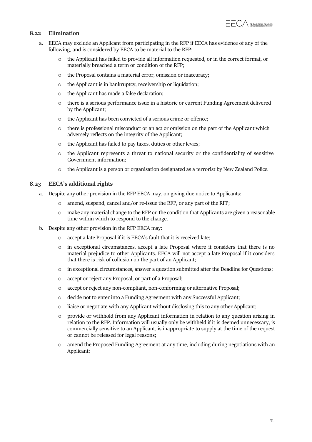# **8.22 Elimination**

- a. EECA may exclude an Applicant from participating in the RFP if EECA has evidence of any of the following, and is considered by EECA to be material to the RFP:
	- o the Applicant has failed to provide all information requested, or in the correct format, or materially breached a term or condition of the RFP;
	- o the Proposal contains a material error, omission or inaccuracy;
	- o the Applicant is in bankruptcy, receivership or liquidation;
	- o the Applicant has made a false declaration;
	- o there is a serious performance issue in a historic or current Funding Agreement delivered by the Applicant;
	- o the Applicant has been convicted of a serious crime or offence;
	- o there is professional misconduct or an act or omission on the part of the Applicant which adversely reflects on the integrity of the Applicant;
	- o the Applicant has failed to pay taxes, duties or other levies;
	- o the Applicant represents a threat to national security or the confidentiality of sensitive Government information;
	- o the Applicant is a person or organisation designated as a terrorist by New Zealand Police.

#### **8.23 EECA's additional rights**

- a. Despite any other provision in the RFP EECA may, on giving due notice to Applicants:
	- o amend, suspend, cancel and/or re-issue the RFP, or any part of the RFP;
	- $\circ$  make any material change to the RFP on the condition that Applicants are given a reasonable time within which to respond to the change.
- b. Despite any other provision in the RFP EECA may:
	- o accept a late Proposal if it is EECA's fault that it is received late;
	- o in exceptional circumstances, accept a late Proposal where it considers that there is no material prejudice to other Applicants. EECA will not accept a late Proposal if it considers that there is risk of collusion on the part of an Applicant;
	- $\circ$  in exceptional circumstances, answer a question submitted after the Deadline for Questions;
	- o accept or reject any Proposal, or part of a Proposal;
	- o accept or reject any non-compliant, non-conforming or alternative Proposal;
	- o decide not to enter into a Funding Agreement with any Successful Applicant;
	- o liaise or negotiate with any Applicant without disclosing this to any other Applicant;
	- o provide or withhold from any Applicant information in relation to any question arising in relation to the RFP. Information will usually only be withheld if it is deemed unnecessary, is commercially sensitive to an Applicant, is inappropriate to supply at the time of the request or cannot be released for legal reasons;
	- o amend the Proposed Funding Agreement at any time, including during negotiations with an Applicant;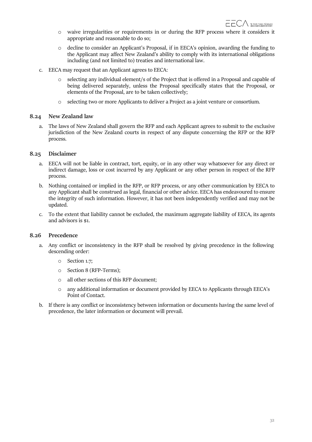- o waive irregularities or requirements in or during the RFP process where it considers it appropriate and reasonable to do so;
- o decline to consider an Applicant's Proposal, if in EECA's opinion, awarding the funding to the Applicant may affect New Zealand's ability to comply with its international obligations including (and not limited to) treaties and international law.
- c. EECA may request that an Applicant agrees to EECA:
	- selecting any individual element/s of the Project that is offered in a Proposal and capable of being delivered separately, unless the Proposal specifically states that the Proposal, or elements of the Proposal, are to be taken collectively;
	- o selecting two or more Applicants to deliver a Project as a joint venture or consortium.

#### **8.24 New Zealand law**

a. The laws of New Zealand shall govern the RFP and each Applicant agrees to submit to the exclusive jurisdiction of the New Zealand courts in respect of any dispute concerning the RFP or the RFP process.

#### **8.25 Disclaimer**

- a. EECA will not be liable in contract, tort, equity, or in any other way whatsoever for any direct or indirect damage, loss or cost incurred by any Applicant or any other person in respect of the RFP process.
- b. Nothing contained or implied in the RFP, or RFP process, or any other communication by EECA to any Applicant shall be construed as legal, financial or other advice. EECA has endeavoured to ensure the integrity of such information. However, it has not been independently verified and may not be updated.
- c. To the extent that liability cannot be excluded, the maximum aggregate liability of EECA, its agents and advisors is \$1.

#### **8.26 Precedence**

- a. Any conflict or inconsistency in the RFP shall be resolved by giving precedence in the following descending order:
	- o Section 1.7;
	- o Section 8 (RFP-Terms);
	- o all other sections of this RFP document;
	- o any additional information or document provided by EECA to Applicants through EECA's Point of Contact.
- b. If there is any conflict or inconsistency between information or documents having the same level of precedence, the later information or document will prevail.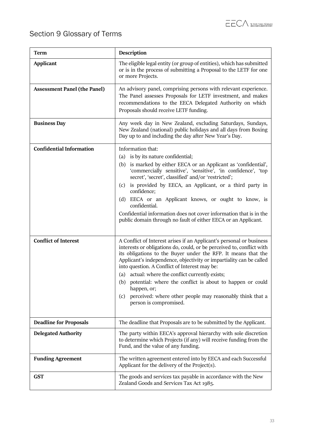# <span id="page-32-0"></span>Section 9 Glossary of Terms

| <b>Term</b>                         | Description                                                                                                                                                                                                                                                                                                                                                                                                                                                                                                                                                              |  |  |  |  |
|-------------------------------------|--------------------------------------------------------------------------------------------------------------------------------------------------------------------------------------------------------------------------------------------------------------------------------------------------------------------------------------------------------------------------------------------------------------------------------------------------------------------------------------------------------------------------------------------------------------------------|--|--|--|--|
| <b>Applicant</b>                    | The eligible legal entity (or group of entities), which has submitted<br>or is in the process of submitting a Proposal to the LETF for one<br>or more Projects.                                                                                                                                                                                                                                                                                                                                                                                                          |  |  |  |  |
| <b>Assessment Panel (the Panel)</b> | An advisory panel, comprising persons with relevant experience.<br>The Panel assesses Proposals for LETF investment, and makes<br>recommendations to the EECA Delegated Authority on which<br>Proposals should receive LETF funding.                                                                                                                                                                                                                                                                                                                                     |  |  |  |  |
| <b>Business Day</b>                 | Any week day in New Zealand, excluding Saturdays, Sundays,<br>New Zealand (national) public holidays and all days from Boxing<br>Day up to and including the day after New Year's Day.                                                                                                                                                                                                                                                                                                                                                                                   |  |  |  |  |
| <b>Confidential Information</b>     | Information that:<br>(a) is by its nature confidential;<br>(b) is marked by either EECA or an Applicant as 'confidential',<br>'commercially sensitive', 'sensitive', 'in confidence', 'top<br>secret', 'secret', classified' and/or 'restricted';<br>is provided by EECA, an Applicant, or a third party in<br>(c)<br>confidence;<br>(d) EECA or an Applicant knows, or ought to know, is<br>confidential.<br>Confidential information does not cover information that is in the<br>public domain through no fault of either EECA or an Applicant.                       |  |  |  |  |
| <b>Conflict of Interest</b>         | A Conflict of Interest arises if an Applicant's personal or business<br>interests or obligations do, could, or be perceived to, conflict with<br>its obligations to the Buyer under the RFP. It means that the<br>Applicant's independence, objectivity or impartiality can be called<br>into question. A Conflict of Interest may be:<br>(a) actual: where the conflict currently exists;<br>(b) potential: where the conflict is about to happen or could<br>happen, or;<br>perceived: where other people may reasonably think that a<br>(c)<br>person is compromised. |  |  |  |  |
| <b>Deadline for Proposals</b>       | The deadline that Proposals are to be submitted by the Applicant.                                                                                                                                                                                                                                                                                                                                                                                                                                                                                                        |  |  |  |  |
| <b>Delegated Authority</b>          | The party within EECA's approval hierarchy with sole discretion<br>to determine which Projects (if any) will receive funding from the<br>Fund, and the value of any funding.                                                                                                                                                                                                                                                                                                                                                                                             |  |  |  |  |
| <b>Funding Agreement</b>            | The written agreement entered into by EECA and each Successful<br>Applicant for the delivery of the Project(s).                                                                                                                                                                                                                                                                                                                                                                                                                                                          |  |  |  |  |
| <b>GST</b>                          | The goods and services tax payable in accordance with the New<br>Zealand Goods and Services Tax Act 1985.                                                                                                                                                                                                                                                                                                                                                                                                                                                                |  |  |  |  |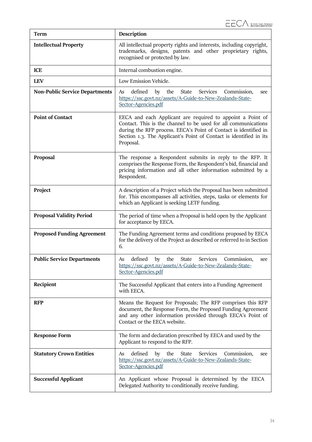| <b>Term</b>                           | Description                                                                                                                                                                                                                                                                         |  |  |  |  |  |
|---------------------------------------|-------------------------------------------------------------------------------------------------------------------------------------------------------------------------------------------------------------------------------------------------------------------------------------|--|--|--|--|--|
| <b>Intellectual Property</b>          | All intellectual property rights and interests, including copyright,<br>trademarks, designs, patents and other proprietary rights,<br>recognised or protected by law.                                                                                                               |  |  |  |  |  |
| <b>ICE</b>                            | Internal combustion engine.                                                                                                                                                                                                                                                         |  |  |  |  |  |
| <b>LEV</b>                            | Low Emission Vehicle.                                                                                                                                                                                                                                                               |  |  |  |  |  |
| <b>Non-Public Service Departments</b> | defined<br>the<br>State<br>Services<br>As<br>by<br>Commission,<br>see<br>https://ssc.govt.nz/assets/A-Guide-to-New-Zealands-State-<br>Sector-Agencies.pdf                                                                                                                           |  |  |  |  |  |
| <b>Point of Contact</b>               | EECA and each Applicant are required to appoint a Point of<br>Contact. This is the channel to be used for all communications<br>during the RFP process. EECA's Point of Contact is identified in<br>Section 1.3. The Applicant's Point of Contact is identified in its<br>Proposal. |  |  |  |  |  |
| Proposal                              | The response a Respondent submits in reply to the RFP. It<br>comprises the Response Form, the Respondent's bid, financial and<br>pricing information and all other information submitted by a<br>Respondent.                                                                        |  |  |  |  |  |
| Project                               | A description of a Project which the Proposal has been submitted<br>for. This encompasses all activities, steps, tasks or elements for<br>which an Applicant is seeking LETF funding.                                                                                               |  |  |  |  |  |
| <b>Proposal Validity Period</b>       | The period of time when a Proposal is held open by the Applicant<br>for acceptance by EECA.                                                                                                                                                                                         |  |  |  |  |  |
| <b>Proposed Funding Agreement</b>     | The Funding Agreement terms and conditions proposed by EECA<br>for the delivery of the Project as described or referred to in Section<br>6.                                                                                                                                         |  |  |  |  |  |
| <b>Public Service Departments</b>     | defined<br>Services<br>by<br>the<br>State<br>Commission,<br>As<br>see<br>https://ssc.govt.nz/assets/A-Guide-to-New-Zealands-State-<br>Sector-Agencies.pdf                                                                                                                           |  |  |  |  |  |
| Recipient                             | The Successful Applicant that enters into a Funding Agreement<br>with EECA.                                                                                                                                                                                                         |  |  |  |  |  |
| <b>RFP</b>                            | Means the Request for Proposals; The RFP comprises this RFP<br>document, the Response Form, the Proposed Funding Agreement<br>and any other information provided through EECA's Point of<br>Contact or the EECA website.                                                            |  |  |  |  |  |
| <b>Response Form</b>                  | The form and declaration prescribed by EECA and used by the<br>Applicant to respond to the RFP.                                                                                                                                                                                     |  |  |  |  |  |
| <b>Statutory Crown Entities</b>       | defined<br>Services<br>the<br>State<br>Commission,<br>As<br>by<br>see<br>https://ssc.govt.nz/assets/A-Guide-to-New-Zealands-State-<br>Sector-Agencies.pdf                                                                                                                           |  |  |  |  |  |
| <b>Successful Applicant</b>           | An Applicant whose Proposal is determined by the EECA<br>Delegated Authority to conditionally receive funding.                                                                                                                                                                      |  |  |  |  |  |